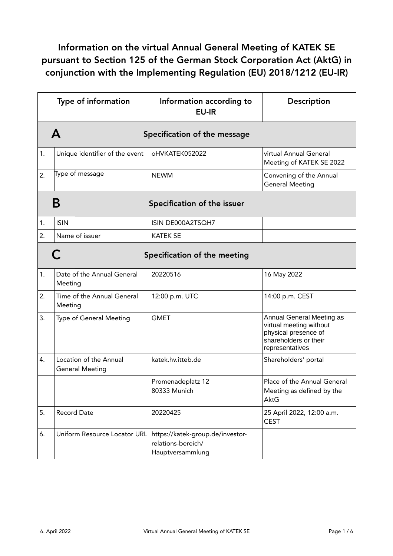## Information on the virtual Annual General Meeting of KATEK SE pursuant to Section 125 of the German Stock Corporation Act (AktG) in conjunction with the Implementing Regulation (EU) 2018/1212 (EU-IR)

|    | <b>Type of information</b>                       | Information according to<br><b>EU-IR</b>                                   | Description                                                                                                              |  |
|----|--------------------------------------------------|----------------------------------------------------------------------------|--------------------------------------------------------------------------------------------------------------------------|--|
|    | A<br>Specification of the message                |                                                                            |                                                                                                                          |  |
| 1. | Unique identifier of the event                   | oHVKATEK052022                                                             | virtual Annual General<br>Meeting of KATEK SE 2022                                                                       |  |
| 2. | Type of message                                  | <b>NEWM</b>                                                                | Convening of the Annual<br><b>General Meeting</b>                                                                        |  |
|    | Β                                                | Specification of the issuer                                                |                                                                                                                          |  |
| 1. | <b>ISIN</b>                                      | ISIN DE000A2TSQH7                                                          |                                                                                                                          |  |
| 2. | Name of issuer                                   | <b>KATEK SE</b>                                                            |                                                                                                                          |  |
|    | Specification of the meeting                     |                                                                            |                                                                                                                          |  |
| 1. | Date of the Annual General<br>Meeting            | 20220516                                                                   | 16 May 2022                                                                                                              |  |
| 2. | Time of the Annual General<br>Meeting            | 12:00 p.m. UTC                                                             | 14:00 p.m. CEST                                                                                                          |  |
| 3. | Type of General Meeting                          | <b>GMET</b>                                                                | Annual General Meeting as<br>virtual meeting without<br>physical presence of<br>shareholders or their<br>representatives |  |
| 4. | Location of the Annual<br><b>General Meeting</b> | katek.hv.itteb.de                                                          | Shareholders' portal                                                                                                     |  |
|    |                                                  | Promenadeplatz 12<br>80333 Munich                                          | Place of the Annual General<br>Meeting as defined by the<br><b>AktG</b>                                                  |  |
| 5. | <b>Record Date</b>                               | 20220425                                                                   | 25 April 2022, 12:00 a.m.<br><b>CEST</b>                                                                                 |  |
| 6. | Uniform Resource Locator URL                     | https://katek-group.de/investor-<br>relations-bereich/<br>Hauptversammlung |                                                                                                                          |  |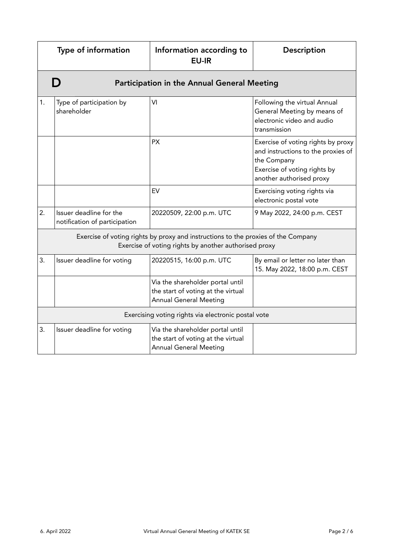|    | Type of information                                                                                                                        | Information according to<br><b>EU-IR</b>                                                                | Description                                                                                                                                         |  |
|----|--------------------------------------------------------------------------------------------------------------------------------------------|---------------------------------------------------------------------------------------------------------|-----------------------------------------------------------------------------------------------------------------------------------------------------|--|
|    | D<br>Participation in the Annual General Meeting                                                                                           |                                                                                                         |                                                                                                                                                     |  |
| 1. | Type of participation by<br>shareholder                                                                                                    | VI                                                                                                      | Following the virtual Annual<br>General Meeting by means of<br>electronic video and audio<br>transmission                                           |  |
|    |                                                                                                                                            | <b>PX</b>                                                                                               | Exercise of voting rights by proxy<br>and instructions to the proxies of<br>the Company<br>Exercise of voting rights by<br>another authorised proxy |  |
|    |                                                                                                                                            | EV                                                                                                      | Exercising voting rights via<br>electronic postal vote                                                                                              |  |
| 2. | Issuer deadline for the<br>notification of participation                                                                                   | 20220509, 22:00 p.m. UTC                                                                                | 9 May 2022, 24:00 p.m. CEST                                                                                                                         |  |
|    | Exercise of voting rights by proxy and instructions to the proxies of the Company<br>Exercise of voting rights by another authorised proxy |                                                                                                         |                                                                                                                                                     |  |
| 3. | Issuer deadline for voting                                                                                                                 | 20220515, 16:00 p.m. UTC                                                                                | By email or letter no later than<br>15. May 2022, 18:00 p.m. CEST                                                                                   |  |
|    |                                                                                                                                            | Via the shareholder portal until<br>the start of voting at the virtual<br><b>Annual General Meeting</b> |                                                                                                                                                     |  |
|    | Exercising voting rights via electronic postal vote                                                                                        |                                                                                                         |                                                                                                                                                     |  |
| 3. | Issuer deadline for voting                                                                                                                 | Via the shareholder portal until<br>the start of voting at the virtual<br><b>Annual General Meeting</b> |                                                                                                                                                     |  |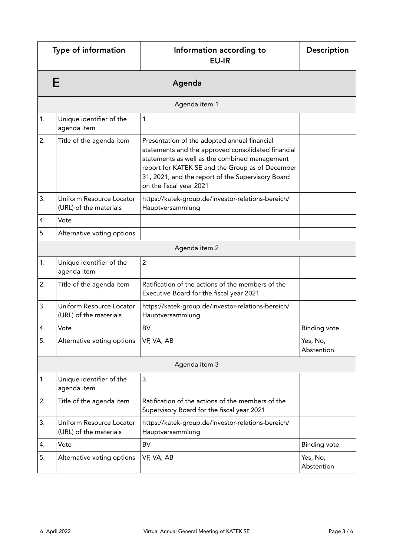|               | Type of information                                | Information according to<br><b>EU-IR</b>                                                                                                                                                                                                                                                | <b>Description</b>     |
|---------------|----------------------------------------------------|-----------------------------------------------------------------------------------------------------------------------------------------------------------------------------------------------------------------------------------------------------------------------------------------|------------------------|
|               | Е                                                  | Agenda                                                                                                                                                                                                                                                                                  |                        |
|               |                                                    | Agenda item 1                                                                                                                                                                                                                                                                           |                        |
| 1.            | Unique identifier of the<br>agenda item            | 1                                                                                                                                                                                                                                                                                       |                        |
| 2.            | Title of the agenda item                           | Presentation of the adopted annual financial<br>statements and the approved consolidated financial<br>statements as well as the combined management<br>report for KATEK SE and the Group as of December<br>31, 2021, and the report of the Supervisory Board<br>on the fiscal year 2021 |                        |
| 3.            | Uniform Resource Locator<br>(URL) of the materials | https://katek-group.de/investor-relations-bereich/<br>Hauptversammlung                                                                                                                                                                                                                  |                        |
| 4.            | Vote                                               |                                                                                                                                                                                                                                                                                         |                        |
| 5.            | Alternative voting options                         |                                                                                                                                                                                                                                                                                         |                        |
|               |                                                    | Agenda item 2                                                                                                                                                                                                                                                                           |                        |
| 1.            | Unique identifier of the<br>agenda item            | $\overline{2}$                                                                                                                                                                                                                                                                          |                        |
| 2.            | Title of the agenda item                           | Ratification of the actions of the members of the<br>Executive Board for the fiscal year 2021                                                                                                                                                                                           |                        |
| 3.            | Uniform Resource Locator<br>(URL) of the materials | https://katek-group.de/investor-relations-bereich/<br>Hauptversammlung                                                                                                                                                                                                                  |                        |
| 4.            | Vote                                               | <b>BV</b>                                                                                                                                                                                                                                                                               | <b>Binding vote</b>    |
| 5.            | Alternative voting options                         | VF, VA, AB                                                                                                                                                                                                                                                                              | Yes, No,<br>Abstention |
| Agenda item 3 |                                                    |                                                                                                                                                                                                                                                                                         |                        |
| 1.            | Unique identifier of the<br>agenda item            | 3                                                                                                                                                                                                                                                                                       |                        |
| 2.            | Title of the agenda item                           | Ratification of the actions of the members of the<br>Supervisory Board for the fiscal year 2021                                                                                                                                                                                         |                        |
| 3.            | Uniform Resource Locator<br>(URL) of the materials | https://katek-group.de/investor-relations-bereich/<br>Hauptversammlung                                                                                                                                                                                                                  |                        |
| 4.            | Vote                                               | BV                                                                                                                                                                                                                                                                                      | <b>Binding vote</b>    |
| 5.            | Alternative voting options                         | VF, VA, AB                                                                                                                                                                                                                                                                              | Yes, No,<br>Abstention |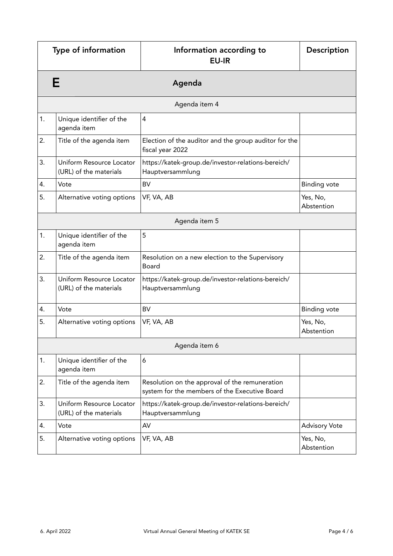| Type of information |                                                    | Information according to<br><b>EU-IR</b>                                                        | Description            |
|---------------------|----------------------------------------------------|-------------------------------------------------------------------------------------------------|------------------------|
|                     | E                                                  | Agenda                                                                                          |                        |
|                     |                                                    | Agenda item 4                                                                                   |                        |
| 1.                  | Unique identifier of the<br>agenda item            | 4                                                                                               |                        |
| 2.                  | Title of the agenda item                           | Election of the auditor and the group auditor for the<br>fiscal year 2022                       |                        |
| 3.                  | Uniform Resource Locator<br>(URL) of the materials | https://katek-group.de/investor-relations-bereich/<br>Hauptversammlung                          |                        |
| 4.                  | Vote                                               | <b>BV</b>                                                                                       | <b>Binding vote</b>    |
| 5.                  | Alternative voting options                         | VF, VA, AB                                                                                      | Yes, No,<br>Abstention |
|                     |                                                    | Agenda item 5                                                                                   |                        |
| 1.                  | Unique identifier of the<br>agenda item            | 5                                                                                               |                        |
| 2.                  | Title of the agenda item                           | Resolution on a new election to the Supervisory<br>Board                                        |                        |
| 3.                  | Uniform Resource Locator<br>(URL) of the materials | https://katek-group.de/investor-relations-bereich/<br>Hauptversammlung                          |                        |
| 4.                  | Vote                                               | <b>BV</b>                                                                                       | <b>Binding vote</b>    |
| 5.                  | Alternative voting options                         | VF, VA, AB                                                                                      | Yes, No,<br>Abstention |
| Agenda item 6       |                                                    |                                                                                                 |                        |
| 1.                  | Unique identifier of the<br>agenda item            | 6                                                                                               |                        |
| 2.                  | Title of the agenda item                           | Resolution on the approval of the remuneration<br>system for the members of the Executive Board |                        |
| 3.                  | Uniform Resource Locator<br>(URL) of the materials | https://katek-group.de/investor-relations-bereich/<br>Hauptversammlung                          |                        |
| 4.                  | Vote                                               | AV                                                                                              | <b>Advisory Vote</b>   |
| 5.                  | Alternative voting options                         | VF, VA, AB                                                                                      | Yes, No,<br>Abstention |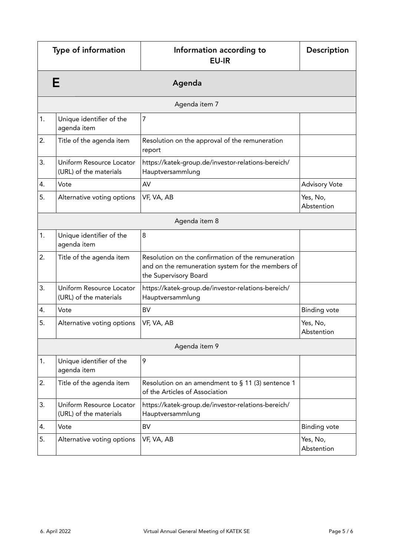|               | Type of information                                | Information according to<br><b>EU-IR</b>                                                                                         | Description            |
|---------------|----------------------------------------------------|----------------------------------------------------------------------------------------------------------------------------------|------------------------|
|               | Е                                                  | Agenda                                                                                                                           |                        |
|               |                                                    | Agenda item 7                                                                                                                    |                        |
| 1.            | Unique identifier of the<br>agenda item            | $\overline{7}$                                                                                                                   |                        |
| 2.            | Title of the agenda item                           | Resolution on the approval of the remuneration<br>report                                                                         |                        |
| 3.            | Uniform Resource Locator<br>(URL) of the materials | https://katek-group.de/investor-relations-bereich/<br>Hauptversammlung                                                           |                        |
| 4.            | Vote                                               | AV                                                                                                                               | <b>Advisory Vote</b>   |
| 5.            | Alternative voting options                         | VF, VA, AB                                                                                                                       | Yes, No,<br>Abstention |
|               |                                                    | Agenda item 8                                                                                                                    |                        |
| 1.            | Unique identifier of the<br>agenda item            | 8                                                                                                                                |                        |
| 2.            | Title of the agenda item                           | Resolution on the confirmation of the remuneration<br>and on the remuneration system for the members of<br>the Supervisory Board |                        |
| 3.            | Uniform Resource Locator<br>(URL) of the materials | https://katek-group.de/investor-relations-bereich/<br>Hauptversammlung                                                           |                        |
| 4.            | Vote                                               | <b>BV</b>                                                                                                                        | <b>Binding vote</b>    |
| 5.            | Alternative voting options                         | VF, VA, AB                                                                                                                       | Yes, No,<br>Abstention |
| Agenda item 9 |                                                    |                                                                                                                                  |                        |
| 1.            | Unique identifier of the<br>agenda item            | 9                                                                                                                                |                        |
| 2.            | Title of the agenda item                           | Resolution on an amendment to $\S$ 11 (3) sentence 1<br>of the Articles of Association                                           |                        |
| 3.            | Uniform Resource Locator<br>(URL) of the materials | https://katek-group.de/investor-relations-bereich/<br>Hauptversammlung                                                           |                        |
| 4.            | Vote                                               | <b>BV</b>                                                                                                                        | <b>Binding vote</b>    |
| 5.            | Alternative voting options                         | VF, VA, AB                                                                                                                       | Yes, No,<br>Abstention |